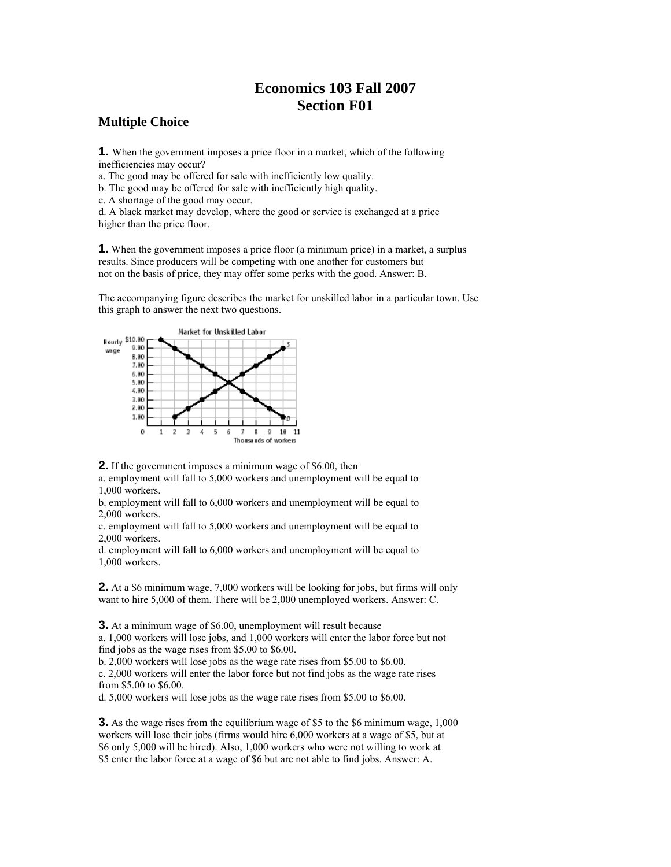## **Economics 103 Fall 2007 Section F01**

## **Multiple Choice**

**1.** When the government imposes a price floor in a market, which of the following inefficiencies may occur?

a. The good may be offered for sale with inefficiently low quality.

b. The good may be offered for sale with inefficiently high quality.

c. A shortage of the good may occur.

d. A black market may develop, where the good or service is exchanged at a price higher than the price floor.

**1.** When the government imposes a price floor (a minimum price) in a market, a surplus results. Since producers will be competing with one another for customers but not on the basis of price, they may offer some perks with the good. Answer: B.

The accompanying figure describes the market for unskilled labor in a particular town. Use this graph to answer the next two questions.



**2.** If the government imposes a minimum wage of \$6.00, then

a. employment will fall to 5,000 workers and unemployment will be equal to 1,000 workers.

b. employment will fall to 6,000 workers and unemployment will be equal to 2,000 workers.

c. employment will fall to 5,000 workers and unemployment will be equal to 2,000 workers.

d. employment will fall to 6,000 workers and unemployment will be equal to 1,000 workers.

**2.** At a \$6 minimum wage, 7,000 workers will be looking for jobs, but firms will only want to hire 5,000 of them. There will be 2,000 unemployed workers. Answer: C.

**3.** At a minimum wage of \$6.00, unemployment will result because

a. 1,000 workers will lose jobs, and 1,000 workers will enter the labor force but not find jobs as the wage rises from \$5.00 to \$6.00.

b. 2,000 workers will lose jobs as the wage rate rises from \$5.00 to \$6.00. c. 2,000 workers will enter the labor force but not find jobs as the wage rate rises from \$5.00 to \$6.00.

d. 5,000 workers will lose jobs as the wage rate rises from \$5.00 to \$6.00.

**3.** As the wage rises from the equilibrium wage of \$5 to the \$6 minimum wage, 1,000 workers will lose their jobs (firms would hire 6,000 workers at a wage of \$5, but at \$6 only 5,000 will be hired). Also, 1,000 workers who were not willing to work at \$5 enter the labor force at a wage of \$6 but are not able to find jobs. Answer: A.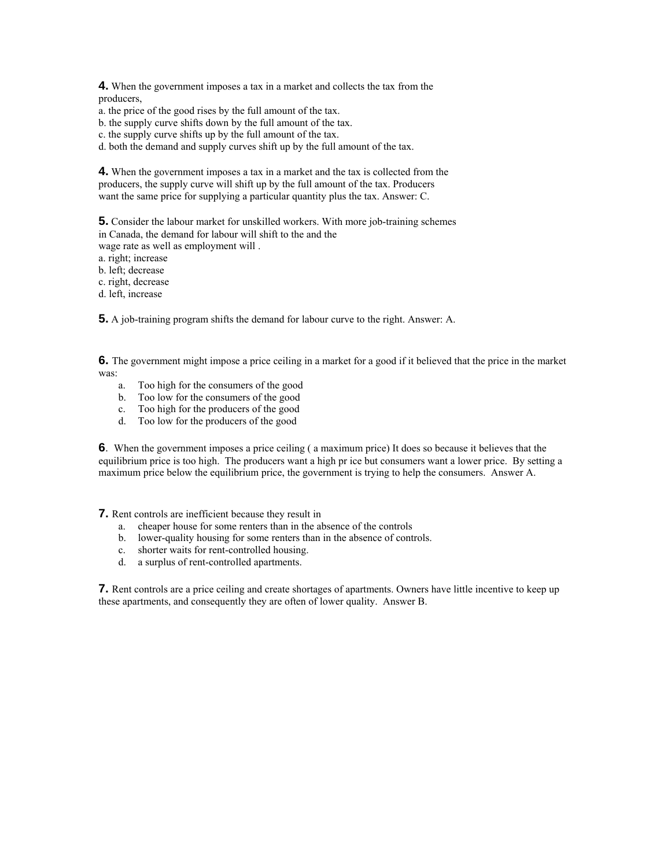**4.** When the government imposes a tax in a market and collects the tax from the producers,

a. the price of the good rises by the full amount of the tax.

b. the supply curve shifts down by the full amount of the tax.

c. the supply curve shifts up by the full amount of the tax.

d. both the demand and supply curves shift up by the full amount of the tax.

**4.** When the government imposes a tax in a market and the tax is collected from the producers, the supply curve will shift up by the full amount of the tax. Producers want the same price for supplying a particular quantity plus the tax. Answer: C.

**5.** Consider the labour market for unskilled workers. With more job-training schemes in Canada, the demand for labour will shift to the and the wage rate as well as employment will .

a. right; increase

b. left; decrease

c. right, decrease

d. left, increase

**5.** A job-training program shifts the demand for labour curve to the right. Answer: A.

**6.** The government might impose a price ceiling in a market for a good if it believed that the price in the market was:

- a. Too high for the consumers of the good
- b. Too low for the consumers of the good
- c. Too high for the producers of the good
- d. Too low for the producers of the good

**6**. When the government imposes a price ceiling ( a maximum price) It does so because it believes that the equilibrium price is too high. The producers want a high pr ice but consumers want a lower price. By setting a maximum price below the equilibrium price, the government is trying to help the consumers. Answer A.

**7.** Rent controls are inefficient because they result in

- a. cheaper house for some renters than in the absence of the controls
- b. lower-quality housing for some renters than in the absence of controls.
- c. shorter waits for rent-controlled housing.
- d. a surplus of rent-controlled apartments.

**7.** Rent controls are a price ceiling and create shortages of apartments. Owners have little incentive to keep up these apartments, and consequently they are often of lower quality. Answer B.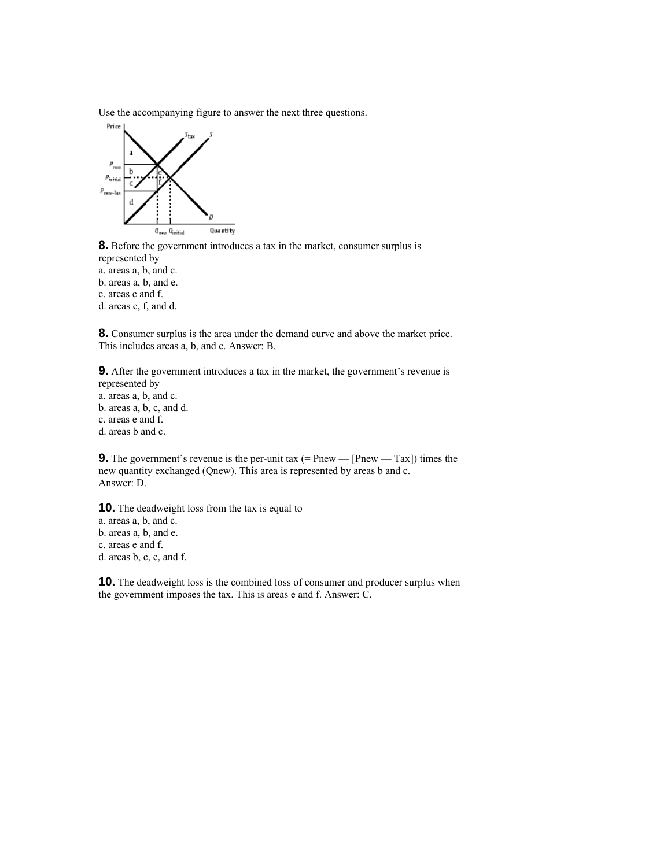Use the accompanying figure to answer the next three questions.



**8.** Before the government introduces a tax in the market, consumer surplus is represented by a. areas a, b, and c. b. areas a, b, and e. c. areas e and f.

d. areas c, f, and d.

**8.** Consumer surplus is the area under the demand curve and above the market price. This includes areas a, b, and e. Answer: B.

**9.** After the government introduces a tax in the market, the government's revenue is represented by a. areas a, b, and c. b. areas a, b, c, and d. c. areas e and f. d. areas b and c.

**9.** The government's revenue is the per-unit tax  $(=$  Pnew —  $[$ Pnew —  $\text{Tax}]$ ) times the new quantity exchanged (Qnew). This area is represented by areas b and c. Answer: D.

**10.** The deadweight loss from the tax is equal to a. areas a, b, and c. b. areas a, b, and e. c. areas e and f. d. areas b, c, e, and f.

**10.** The deadweight loss is the combined loss of consumer and producer surplus when the government imposes the tax. This is areas e and f. Answer: C.